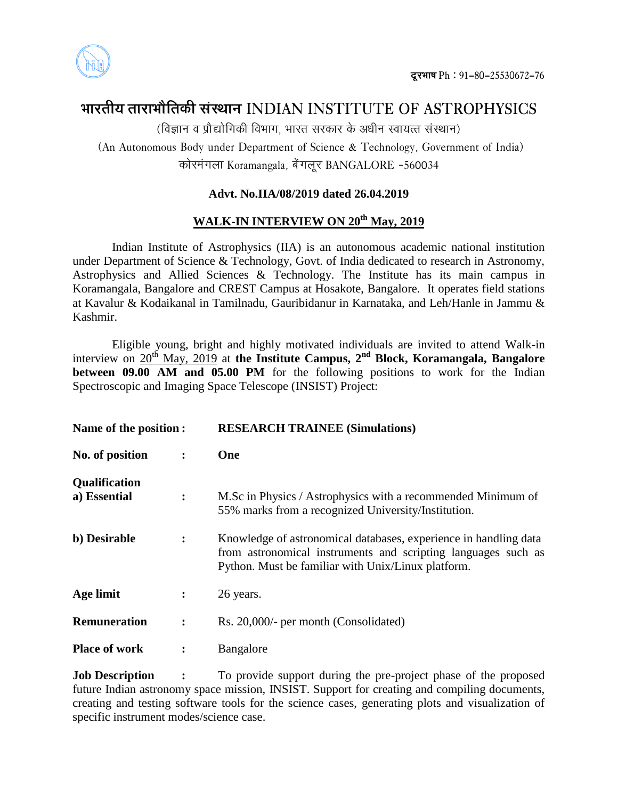

# **ØððÜÃðóÚð ÃððÜðØððøòÃð¨îó çðüçÆððÐð INDIAN INSTITUTE OF ASTROPHYSICS**

(विज्ञान व प्रौद्योगिकी विभाग, भारत सरकार के अधीन स्वायत्त संस्थान)

(An Autonomous Body under Department of Science & Technology, Government of India) ¨îð÷ÜÙðü±ðâðð Koramangala, ×ð÷ü±ðâðõÜ BANGALORE -560034

## **Advt. No.IIA/08/2019 dated 26.04.2019**

# **WALK-IN INTERVIEW ON 20th May, 2019**

Indian Institute of Astrophysics (IIA) is an autonomous academic national institution under Department of Science & Technology, Govt. of India dedicated to research in Astronomy, Astrophysics and Allied Sciences & Technology. The Institute has its main campus in Koramangala, Bangalore and CREST Campus at Hosakote, Bangalore. It operates field stations at Kavalur & Kodaikanal in Tamilnadu, Gauribidanur in Karnataka, and Leh/Hanle in Jammu & Kashmir.

Eligible young, bright and highly motivated individuals are invited to attend Walk-in interview on  $20^{th}$  May, 2019 at the Institute Campus, 2<sup>nd</sup> Block, Koramangala, Bangalore **between 09.00 AM** and **05.00 PM** for the following positions to work for the Indian Spectroscopic and Imaging Space Telescope (INSIST) Project:

| Name of the position :        |                      | <b>RESEARCH TRAINEE (Simulations)</b>                                                                                                                                                   |  |  |  |
|-------------------------------|----------------------|-----------------------------------------------------------------------------------------------------------------------------------------------------------------------------------------|--|--|--|
| No. of position               | $\ddot{\phantom{a}}$ | One                                                                                                                                                                                     |  |  |  |
| Qualification<br>a) Essential | $\ddot{\cdot}$       | M.Sc in Physics / Astrophysics with a recommended Minimum of<br>55% marks from a recognized University/Institution.                                                                     |  |  |  |
| b) Desirable                  | $\ddot{\cdot}$       | Knowledge of astronomical databases, experience in handling data<br>from astronomical instruments and scripting languages such as<br>Python. Must be familiar with Unix/Linux platform. |  |  |  |
| Age limit                     | ፡                    | 26 years.                                                                                                                                                                               |  |  |  |
| <b>Remuneration</b>           | $\ddot{\cdot}$       | Rs. 20,000/- per month (Consolidated)                                                                                                                                                   |  |  |  |
| <b>Place of work</b>          | $\ddot{\cdot}$       | Bangalore                                                                                                                                                                               |  |  |  |

**Job Description :** To provide support during the pre-project phase of the proposed future Indian astronomy space mission, INSIST. Support for creating and compiling documents, creating and testing software tools for the science cases, generating plots and visualization of specific instrument modes/science case.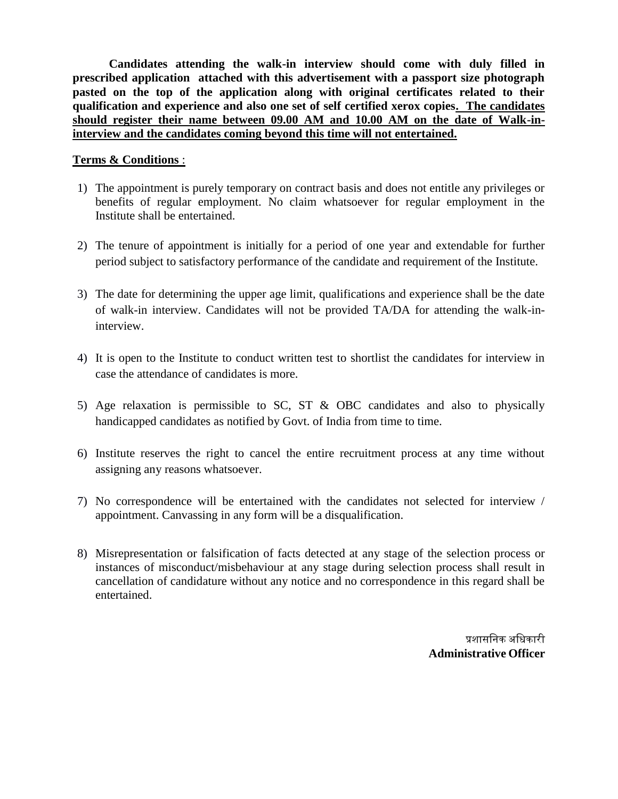**Candidates attending the walk-in interview should come with duly filled in prescribed application attached with this advertisement with a passport size photograph pasted on the top of the application along with original certificates related to their qualification and experience and also one set of self certified xerox copies. The candidates should register their name between 09.00 AM and 10.00 AM on the date of Walk-ininterview and the candidates coming beyond this time will not entertained.** 

#### **Terms & Conditions** :

- 1) The appointment is purely temporary on contract basis and does not entitle any privileges or benefits of regular employment. No claim whatsoever for regular employment in the Institute shall be entertained.
- 2) The tenure of appointment is initially for a period of one year and extendable for further period subject to satisfactory performance of the candidate and requirement of the Institute.
- 3) The date for determining the upper age limit, qualifications and experience shall be the date of walk-in interview. Candidates will not be provided TA/DA for attending the walk-ininterview.
- 4) It is open to the Institute to conduct written test to shortlist the candidates for interview in case the attendance of candidates is more.
- 5) Age relaxation is permissible to SC, ST & OBC candidates and also to physically handicapped candidates as notified by Govt. of India from time to time.
- 6) Institute reserves the right to cancel the entire recruitment process at any time without assigning any reasons whatsoever.
- 7) No correspondence will be entertained with the candidates not selected for interview / appointment. Canvassing in any form will be a disqualification.
- 8) Misrepresentation or falsification of facts detected at any stage of the selection process or instances of misconduct/misbehaviour at any stage during selection process shall result in cancellation of candidature without any notice and no correspondence in this regard shall be entertained.

प्रशासनिक अनिकारी **Administrative Officer**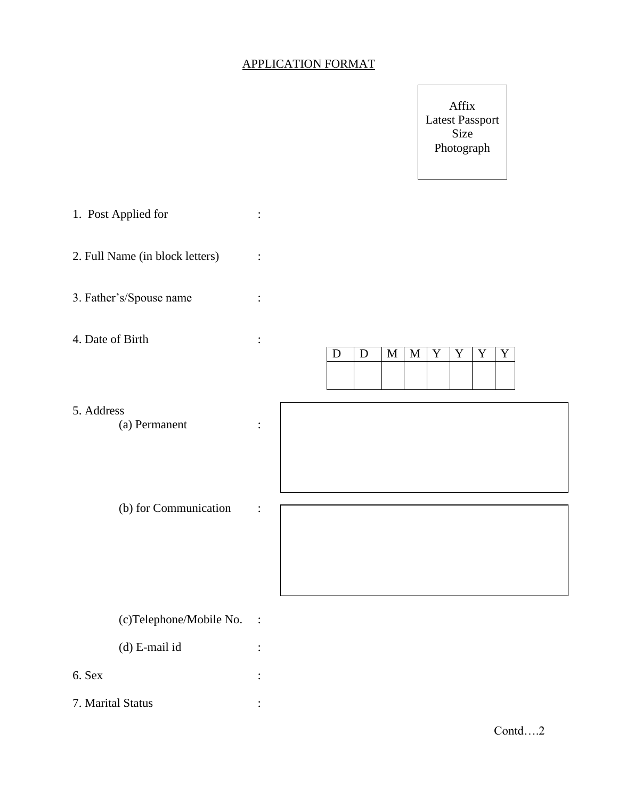#### APPLICATION FORMAT

Affix Latest Passport Size Photograph

1. Post Applied for :

2. Full Name (in block letters) :

3. Father's/Spouse name :

4. Date of Birth :

5. Address

(a) Permanent :

(b) for Communication :

 $D$   $D$   $M$   $M$   $Y$   $Y$   $Y$ 

(c)Telephone/Mobile No. :

(d) E-mail id :

- 6. Sex :
- 7. Marital Status :